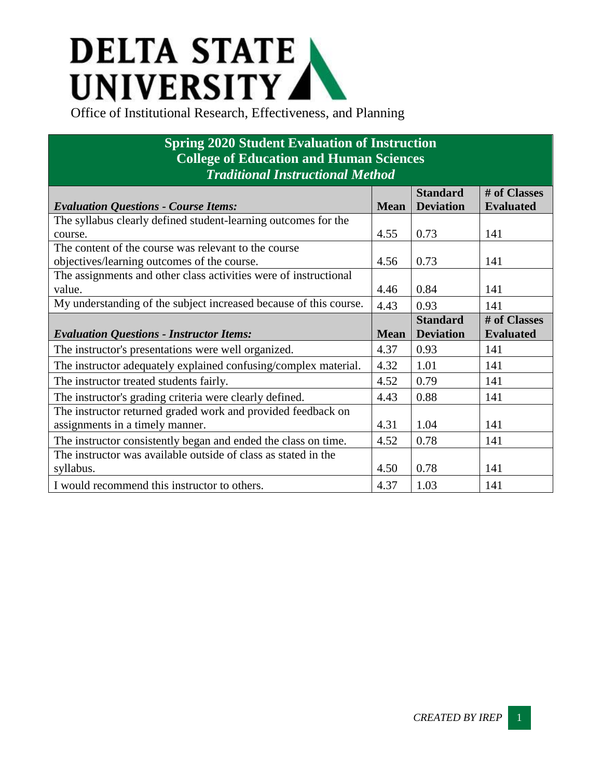## **DELTA STATE** UNIVERSITY

## **Spring 2020 Student Evaluation of Instruction College of Education and Human Sciences** *Traditional Instructional Method*

| <b>Evaluation Questions - Course Items:</b>                       | <b>Mean</b> | <b>Standard</b><br><b>Deviation</b> | # of Classes<br><b>Evaluated</b> |
|-------------------------------------------------------------------|-------------|-------------------------------------|----------------------------------|
| The syllabus clearly defined student-learning outcomes for the    |             |                                     |                                  |
| course.                                                           | 4.55        | 0.73                                | 141                              |
| The content of the course was relevant to the course              |             |                                     |                                  |
| objectives/learning outcomes of the course.                       | 4.56        | 0.73                                | 141                              |
| The assignments and other class activities were of instructional  |             |                                     |                                  |
| value.                                                            | 4.46        | 0.84                                | 141                              |
| My understanding of the subject increased because of this course. | 4.43        | 0.93                                | 141                              |
|                                                                   |             | <b>Standard</b>                     | # of Classes                     |
| <b>Evaluation Questions - Instructor Items:</b>                   | <b>Mean</b> | <b>Deviation</b>                    | <b>Evaluated</b>                 |
| The instructor's presentations were well organized.               | 4.37        | 0.93                                | 141                              |
| The instructor adequately explained confusing/complex material.   | 4.32        | 1.01                                | 141                              |
| The instructor treated students fairly.                           | 4.52        | 0.79                                | 141                              |
| The instructor's grading criteria were clearly defined.           | 4.43        | 0.88                                | 141                              |
| The instructor returned graded work and provided feedback on      |             |                                     |                                  |
| assignments in a timely manner.                                   | 4.31        | 1.04                                | 141                              |
| The instructor consistently began and ended the class on time.    | 4.52        | 0.78                                | 141                              |
| The instructor was available outside of class as stated in the    |             |                                     |                                  |
| syllabus.                                                         | 4.50        | 0.78                                | 141                              |
| I would recommend this instructor to others.                      | 4.37        | 1.03                                | 141                              |